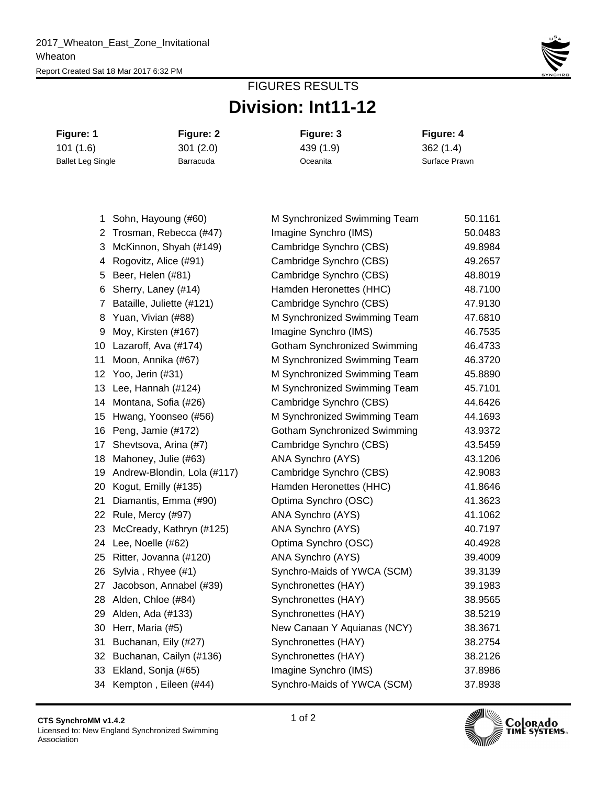

## **Division: Int11-12** FIGURES RESULTS

**Figure: 1 Figure: 2 Figure: 3 Figure: 4** 101 (1.6) 301 (2.0) 439 (1.9) 362 (1.4) Ballet Leg Single **Barracuda** Barracuda **Communication Communication** Surface Prawn

| 1              | Sohn, Hayoung (#60)         | M Synchronized Swimming Team        | 50.1161 |
|----------------|-----------------------------|-------------------------------------|---------|
| $\overline{2}$ | Trosman, Rebecca (#47)      | Imagine Synchro (IMS)               | 50.0483 |
| 3              | McKinnon, Shyah (#149)      | Cambridge Synchro (CBS)             | 49.8984 |
| 4              | Rogovitz, Alice (#91)       | Cambridge Synchro (CBS)             | 49.2657 |
| 5              | Beer, Helen (#81)           | Cambridge Synchro (CBS)             | 48.8019 |
| 6              | Sherry, Laney (#14)         | Hamden Heronettes (HHC)             | 48.7100 |
| $\overline{7}$ | Bataille, Juliette (#121)   | Cambridge Synchro (CBS)             | 47.9130 |
| 8              | Yuan, Vivian (#88)          | M Synchronized Swimming Team        | 47.6810 |
| 9              | Moy, Kirsten (#167)         | Imagine Synchro (IMS)               | 46.7535 |
| 10             | Lazaroff, Ava (#174)        | Gotham Synchronized Swimming        | 46.4733 |
| 11             | Moon, Annika (#67)          | M Synchronized Swimming Team        | 46.3720 |
| 12             | Yoo, Jerin (#31)            | M Synchronized Swimming Team        | 45.8890 |
| 13             | Lee, Hannah (#124)          | M Synchronized Swimming Team        | 45.7101 |
| 14             | Montana, Sofia (#26)        | Cambridge Synchro (CBS)             | 44.6426 |
| 15             | Hwang, Yoonseo (#56)        | M Synchronized Swimming Team        | 44.1693 |
| 16             | Peng, Jamie (#172)          | <b>Gotham Synchronized Swimming</b> | 43.9372 |
| 17             | Shevtsova, Arina (#7)       | Cambridge Synchro (CBS)             | 43.5459 |
| 18             | Mahoney, Julie (#63)        | ANA Synchro (AYS)                   | 43.1206 |
| 19             | Andrew-Blondin, Lola (#117) | Cambridge Synchro (CBS)             | 42.9083 |
| 20             | Kogut, Emilly (#135)        | Hamden Heronettes (HHC)             | 41.8646 |
| 21             | Diamantis, Emma (#90)       | Optima Synchro (OSC)                | 41.3623 |
| 22             | Rule, Mercy (#97)           | ANA Synchro (AYS)                   | 41.1062 |
| 23             | McCready, Kathryn (#125)    | ANA Synchro (AYS)                   | 40.7197 |
| 24             | Lee, Noelle (#62)           | Optima Synchro (OSC)                | 40.4928 |
| 25             | Ritter, Jovanna (#120)      | ANA Synchro (AYS)                   | 39.4009 |
| 26             | Sylvia, Rhyee (#1)          | Synchro-Maids of YWCA (SCM)         | 39.3139 |
| 27             | Jacobson, Annabel (#39)     | Synchronettes (HAY)                 | 39.1983 |
| 28             | Alden, Chloe (#84)          | Synchronettes (HAY)                 | 38.9565 |
| 29             | Alden, Ada (#133)           | Synchronettes (HAY)                 | 38.5219 |
| 30             | Herr, Maria (#5)            | New Canaan Y Aquianas (NCY)         | 38.3671 |
| 31             | Buchanan, Eily (#27)        | Synchronettes (HAY)                 | 38.2754 |
| 32             | Buchanan, Cailyn (#136)     | Synchronettes (HAY)                 | 38.2126 |
| 33             | Ekland, Sonja (#65)         | Imagine Synchro (IMS)               | 37.8986 |
|                | 34 Kempton, Eileen (#44)    | Synchro-Maids of YWCA (SCM)         | 37.8938 |